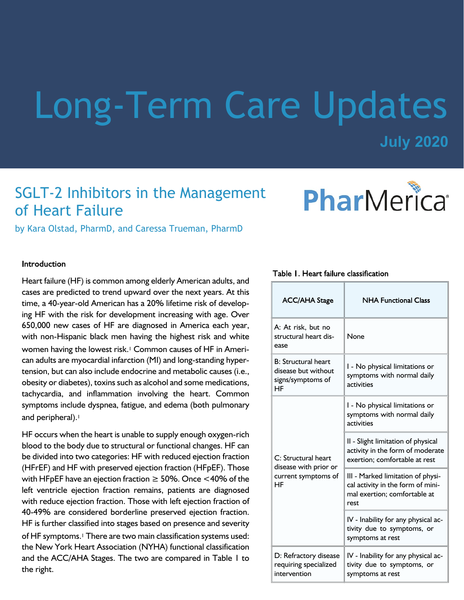# Long-Term Care Updates

## **July 2020**

## SGLT-2 Inhibitors in the Management of Heart Failure

## PharMerica®

by Kara Olstad, PharmD, and Caressa Trueman, PharmD

#### Introduction

Heart failure (HF) is common among elderly American adults, and cases are predicted to trend upward over the next years. At this time, a 40-year-old American has a 20% lifetime risk of developing HF with the risk for development increasing with age. Over 650,000 new cases of HF are diagnosed in America each year, with non-Hispanic black men having the highest risk and white women having the lowest risk.<sup>1</sup> Common causes of HF in American adults are myocardial infarction (MI) and long-standing hypertension, but can also include endocrine and metabolic causes (i.e., obesity or diabetes), toxins such as alcohol and some medications, tachycardia, and inflammation involving the heart. Common symptoms include dyspnea, fatigue, and edema (both pulmonary and peripheral).<sup>1</sup>

HF occurs when the heart is unable to supply enough oxygen-rich blood to the body due to structural or functional changes. HF can be divided into two categories: HF with reduced ejection fraction (HFrEF) and HF with preserved ejection fraction (HFpEF). Those with HFpEF have an ejection fraction  $\geq$  50%. Once <40% of the left ventricle ejection fraction remains, patients are diagnosed with reduce ejection fraction. Those with left ejection fraction of 40-49% are considered borderline preserved ejection fraction. HF is further classified into stages based on presence and severity of HF symptoms.<sup>1</sup> There are two main classification systems used: the New York Heart Association (NYHA) functional classification and the ACC/AHA Stages. The two are compared in Table 1 to the right.

| <b>ACC/AHA Stage</b>                                                         | <b>NHA Functional Class</b>                                                                                    |
|------------------------------------------------------------------------------|----------------------------------------------------------------------------------------------------------------|
| A: At risk, but no<br>structural heart dis-<br>ease                          | None                                                                                                           |
| <b>B: Structural heart</b><br>disease but without<br>signs/symptoms of<br>HF | I - No physical limitations or<br>symptoms with normal daily<br>activities                                     |
| C: Structural heart<br>disease with prior or<br>current symptoms of<br>HF    | I - No physical limitations or<br>symptoms with normal daily<br>activities                                     |
|                                                                              | II - Slight limitation of physical<br>activity in the form of moderate<br>exertion; comfortable at rest        |
|                                                                              | III - Marked limitation of physi-<br>cal activity in the form of mini-<br>mal exertion: comfortable at<br>rest |
|                                                                              | IV - Inability for any physical ac-<br>tivity due to symptoms, or<br>symptoms at rest                          |
| D: Refractory disease<br>requiring specialized<br>intervention               | IV - Inability for any physical ac-<br>tivity due to symptoms, or<br>symptoms at rest                          |

#### Table 1. Heart failure classification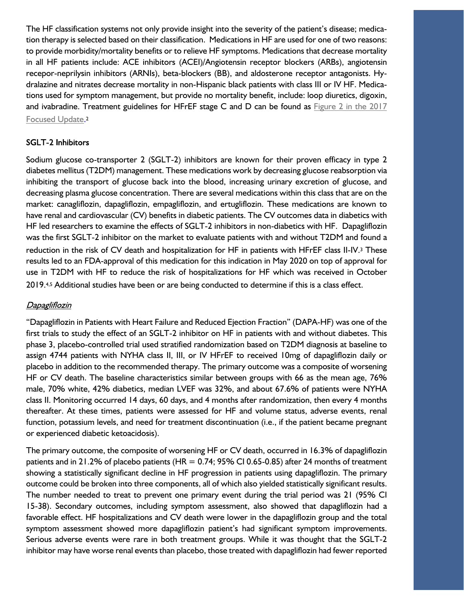The HF classification systems not only provide insight into the severity of the patient's disease; medication therapy is selected based on their classification. Medications in HF are used for one of two reasons: to provide morbidity/mortality benefits or to relieve HF symptoms. Medications that decrease mortality in all HF patients include: ACE inhibitors (ACEI)/Angiotensin receptor blockers (ARBs), angiotensin recepor-neprilysin inhibitors (ARNIs), beta-blockers (BB), and aldosterone receptor antagonists. Hydralazine and nitrates decrease mortality in non-Hispanic black patients with class III or IV HF. Medications used for symptom management, but provide no mortality benefit, include: loop diuretics, digoxin, and ivabradine. Treatment guidelines for HFrEF stage C and D can be found as  $Figure 2$  in the 2017 [Focused Update.](https://www.onlinejacc.org/content/accj/70/6/776/F2.large.jpg?width=800&height=600&carousel=1) 2

#### **SGLT-2 Inhibitors**

Sodium glucose co-transporter 2 (SGLT-2) inhibitors are known for their proven efficacy in type 2 diabetes mellitus (T2DM) management. These medications work by decreasing glucose reabsorption via inhibiting the transport of glucose back into the blood, increasing urinary excretion of glucose, and decreasing plasma glucose concentration. There are several medications within this class that are on the market: canagliflozin, dapagliflozin, empagliflozin, and ertugliflozin. These medications are known to have renal and cardiovascular (CV) benefits in diabetic patients. The CV outcomes data in diabetics with HF led researchers to examine the effects of SGLT-2 inhibitors in non-diabetics with HF. Dapagliflozin was the first SGLT-2 inhibitor on the market to evaluate patients with and without T2DM and found a reduction in the risk of CV death and hospitalization for HF in patients with HFrEF class II-IV.<sup>3</sup> These results led to an FDA-approval of this medication for this indication in May 2020 on top of approval for use in T2DM with HF to reduce the risk of hospitalizations for HF which was received in October 2019.4,5 Additional studies have been or are being conducted to determine if this is a class effect.

#### **Dapagliflozin**

"Dapagliflozin in Patients with Heart Failure and Reduced Ejection Fraction" (DAPA-HF) was one of the first trials to study the effect of an SGLT-2 inhibitor on HF in patients with and without diabetes. This phase 3, placebo-controlled trial used stratified randomization based on T2DM diagnosis at baseline to assign 4744 patients with NYHA class II, III, or IV HFrEF to received 10mg of dapagliflozin daily or placebo in addition to the recommended therapy. The primary outcome was a composite of worsening HF or CV death. The baseline characteristics similar between groups with 66 as the mean age, 76% male, 70% white, 42% diabetics, median LVEF was 32%, and about 67.6% of patients were NYHA class II. Monitoring occurred 14 days, 60 days, and 4 months after randomization, then every 4 months thereafter. At these times, patients were assessed for HF and volume status, adverse events, renal function, potassium levels, and need for treatment discontinuation (i.e., if the patient became pregnant or experienced diabetic ketoacidosis).

The primary outcome, the composite of worsening HF or CV death, occurred in 16.3% of dapagliflozin patients and in 21.2% of placebo patients (HR = 0.74; 95% CI 0.65-0.85) after 24 months of treatment showing a statistically significant decline in HF progression in patients using dapagliflozin. The primary outcome could be broken into three components, all of which also yielded statistically significant results. The number needed to treat to prevent one primary event during the trial period was 21 (95% CI 15-38). Secondary outcomes, including symptom assessment, also showed that dapagliflozin had a favorable effect. HF hospitalizations and CV death were lower in the dapagliflozin group and the total symptom assessment showed more dapagliflozin patient's had significant symptom improvements. Serious adverse events were rare in both treatment groups. While it was thought that the SGLT-2 inhibitor may have worse renal events than placebo, those treated with dapagliflozin had fewer reported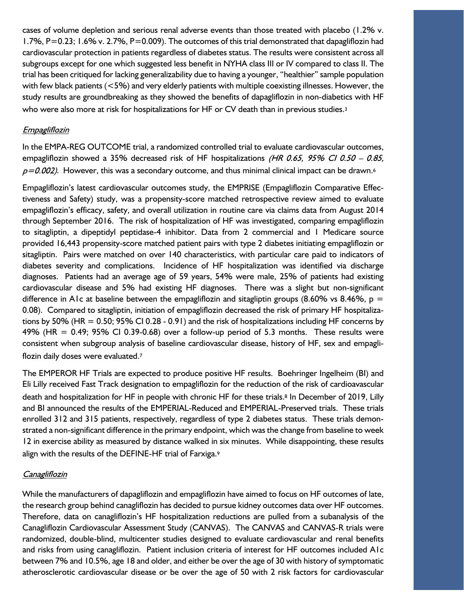cases of volume depletion and serious renal adverse events than those treated with placebo (1.2% v. 1.7%, P=0.23; 1.6% v. 2.7%, P=0.009). The outcomes of this trial demonstrated that dapagliflozin had cardiovascular protection in patients regardless of diabetes status. The results were consistent across all subgroups except for one which suggested less benefit in NYHA class III or IV compared to class II. The trial has been critiqued for lacking generalizability due to having a younger, "healthier" sample population with few black patients (<5%) and very elderly patients with multiple coexisting illnesses. However, the study results are groundbreaking as they showed the benefits of dapagliflozin in non-diabetics with HF who were also more at risk for hospitalizations for HF or CV death than in previous studies.<sup>3</sup>

#### **Empagliflozin**

In the EMPA-REG OUTCOME trial, a randomized controlled trial to evaluate cardiovascular outcomes, empagliflozin showed a 35% decreased risk of HF hospitalizations (HR 0.65, 95% CI 0.50 - 0.85,  $p=0.002$ ). However, this was a secondary outcome, and thus minimal clinical impact can be drawn.<sup>6</sup>

Empagliflozin's latest cardiovascular outcomes study, the EMPRISE (Empagliflozin Comparative Effectiveness and Safety) study, was a propensity-score matched retrospective review aimed to evaluate empagliflozin's efficacy, safety, and overall utilization in routine care via claims data from August 2014 through September 2016. The risk of hospitalization of HF was investigated, comparing empagliflozin to sitagliptin, a dipeptidyl peptidase-4 inhibitor. Data from 2 commercial and 1 Medicare source provided 16,443 propensity-score matched patient pairs with type 2 diabetes initiating empagliflozin or sitagliptin. Pairs were matched on over 140 characteristics, with particular care paid to indicators of diabetes severity and complications. Incidence of HF hospitalization was identified via discharge diagnoses. Patients had an average age of 59 years, 54% were male, 25% of patients had existing cardiovascular disease and 5% had existing HF diagnoses. There was a slight but non-significant difference in A1c at baseline between the empagliflozin and sitagliptin groups (8.60% vs 8.46%,  $p =$ 0.08). Compared to sitagliptin, initiation of empagliflozin decreased the risk of primary HF hospitalizations by 50% (HR = 0.50; 95% CI 0.28 - 0.91) and the risk of hospitalizations including HF concerns by 49% (HR  $= 0.49$ ; 95% CI 0.39-0.68) over a follow-up period of 5.3 months. These results were consistent when subgroup analysis of baseline cardiovascular disease, history of HF, sex and empagliflozin daily doses were evaluated.<sup>7</sup>

The EMPEROR HF Trials are expected to produce positive HF results. Boehringer Ingelheim (BI) and Eli Lilly received Fast Track designation to empagliflozin for the reduction of the risk of cardioavascular death and hospitalization for HF in people with chronic HF for these trials.<sup>8</sup> In December of 2019, Lilly and BI announced the results of the EMPERIAL-Reduced and EMPERIAL-Preserved trials. These trials enrolled 312 and 315 patients, respectively, regardless of type 2 diabetes status. These trials demonstrated a non-significant difference in the primary endpoint, which was the change from baseline to week 12 in exercise ability as measured by distance walked in six minutes. While disappointing, these results align with the results of the DEFINE-HF trial of Farxiga.<sup>9</sup>

#### Canagliflozin

While the manufacturers of dapagliflozin and empagliflozin have aimed to focus on HF outcomes of late, the research group behind canagliflozin has decided to pursue kidney outcomes data over HF outcomes. Therefore, data on canagliflozin's HF hospitalization reductions are pulled from a subanalysis of the Canagliflozin Cardiovascular Assessment Study (CANVAS). The CANVAS and CANVAS-R trials were randomized, double-blind, multicenter studies designed to evaluate cardiovascular and renal benefits and risks from using canagliflozin. Patient inclusion criteria of interest for HF outcomes included A1c between 7% and 10.5%, age 18 and older, and either be over the age of 30 with history of symptomatic atherosclerotic cardiovascular disease or be over the age of 50 with 2 risk factors for cardiovascular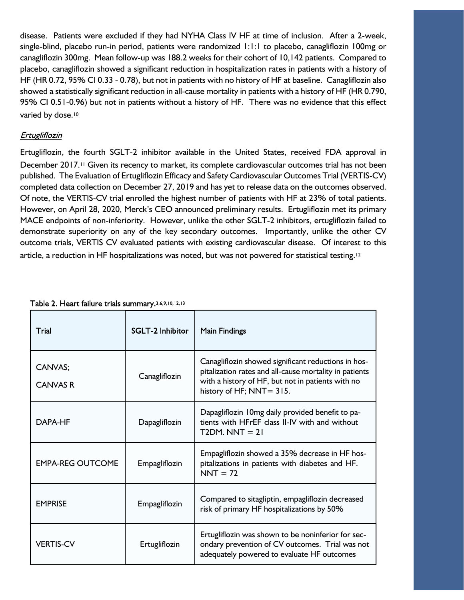disease. Patients were excluded if they had NYHA Class IV HF at time of inclusion. After a 2-week, single-blind, placebo run-in period, patients were randomized 1:1:1 to placebo, canagliflozin 100mg or canagliflozin 300mg. Mean follow-up was 188.2 weeks for their cohort of 10,142 patients. Compared to placebo, canagliflozin showed a significant reduction in hospitalization rates in patients with a history of HF (HR 0.72, 95% CI 0.33 - 0.78), but not in patients with no history of HF at baseline. Canagliflozin also showed a statistically significant reduction in all-cause mortality in patients with a history of HF (HR 0.790, 95% CI 0.51-0.96) but not in patients without a history of HF. There was no evidence that this effect varied by dose.<sup>10</sup>

#### Ertugliflozin

Ertugliflozin, the fourth SGLT-2 inhibitor available in the United States, received FDA approval in December 2017.<sup>11</sup> Given its recency to market, its complete cardiovascular outcomes trial has not been published. The Evaluation of Ertugliflozin Efficacy and Safety Cardiovascular Outcomes Trial (VERTIS-CV) completed data collection on December 27, 2019 and has yet to release data on the outcomes observed. Of note, the VERTIS-CV trial enrolled the highest number of patients with HF at 23% of total patients. However, on April 28, 2020, Merck's CEO announced preliminary results. Ertugliflozin met its primary MACE endpoints of non-inferiority. However, unlike the other SGLT-2 inhibitors, ertugliflozin failed to demonstrate superiority on any of the key secondary outcomes. Importantly, unlike the other CV outcome trials, VERTIS CV evaluated patients with existing cardiovascular disease. Of interest to this article, a reduction in HF hospitalizations was noted, but was not powered for statistical testing.<sup>12</sup>

| Trial                           | <b>SGLT-2 Inhibitor</b> | <b>Main Findings</b>                                                                                                                                                                           |  |  |
|---------------------------------|-------------------------|------------------------------------------------------------------------------------------------------------------------------------------------------------------------------------------------|--|--|
| CANVAS;<br><b>CANVAS R</b>      | Canagliflozin           | Canagliflozin showed significant reductions in hos-<br>pitalization rates and all-cause mortality in patients<br>with a history of HF, but not in patients with no<br>history of HF; NNT= 315. |  |  |
| DAPA-HF                         | Dapagliflozin           | Dapagliflozin 10mg daily provided benefit to pa-<br>tients with HFrEF class II-IV with and without<br>$T2DM$ . NNT = 21                                                                        |  |  |
| <b>EMPA-REG OUTCOME</b>         | Empagliflozin           | Empagliflozin showed a 35% decrease in HF hos-<br>pitalizations in patients with diabetes and HF.<br>$NNT = 72$                                                                                |  |  |
| <b>EMPRISE</b><br>Empagliflozin |                         | Compared to sitagliptin, empagliflozin decreased<br>risk of primary HF hospitalizations by 50%                                                                                                 |  |  |
| <b>VERTIS-CV</b>                | Ertugliflozin           | Ertugliflozin was shown to be noninferior for sec-<br>ondary prevention of CV outcomes. Trial was not<br>adequately powered to evaluate HF outcomes                                            |  |  |

Table 2. Heart failure trials summary. 3,6,9,10,12,13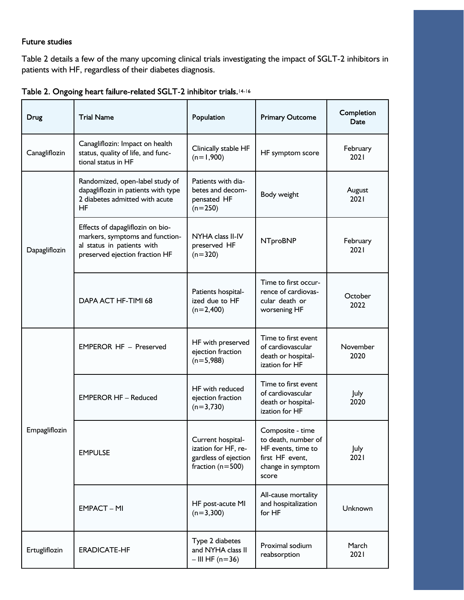#### Future studies

Table 2 details a few of the many upcoming clinical trials investigating the impact of SGLT-2 inhibitors in patients with HF, regardless of their diabetes diagnosis.

| <b>Drug</b>   | <b>Trial Name</b>                                                                                                                   | Population                                                                             | <b>Primary Outcome</b>                                                                                         | Completion<br>Date |
|---------------|-------------------------------------------------------------------------------------------------------------------------------------|----------------------------------------------------------------------------------------|----------------------------------------------------------------------------------------------------------------|--------------------|
| Canagliflozin | Canagliflozin: Impact on health<br>status, quality of life, and func-<br>tional status in HF                                        | Clinically stable HF<br>$(n=1,900)$                                                    | HF symptom score                                                                                               | February<br>2021   |
| Dapagliflozin | Randomized, open-label study of<br>dapagliflozin in patients with type<br>2 diabetes admitted with acute<br><b>HF</b>               | Patients with dia-<br>betes and decom-<br>pensated HF<br>$(n=250)$                     | Body weight                                                                                                    | August<br>2021     |
|               | Effects of dapagliflozin on bio-<br>markers, symptoms and function-<br>al status in patients with<br>preserved ejection fraction HF | NYHA class II-IV<br>preserved HF<br>$(n=320)$                                          | <b>NTproBNP</b>                                                                                                | February<br>2021   |
|               | DAPA ACT HF-TIMI 68                                                                                                                 | Patients hospital-<br>ized due to HF<br>$(n=2,400)$                                    | Time to first occur-<br>rence of cardiovas-<br>cular death or<br>worsening HF                                  | October<br>2022    |
| Empagliflozin | EMPEROR HF - Preserved                                                                                                              | HF with preserved<br>ejection fraction<br>$(n=5,988)$                                  | Time to first event<br>of cardiovascular<br>death or hospital-<br>ization for HF                               | November<br>2020   |
|               | <b>EMPEROR HF - Reduced</b>                                                                                                         | HF with reduced<br>ejection fraction<br>$(n=3,730)$                                    | Time to first event<br>of cardiovascular<br>death or hospital-<br>ization for HF                               | July<br>2020       |
|               | <b>EMPULSE</b>                                                                                                                      | Current hospital-<br>ization for HF, re-<br>gardless of ejection<br>fraction $(n=500)$ | Composite - time<br>to death, number of<br>HF events, time to<br>first HF event,<br>change in symptom<br>score | July<br>2021       |
|               | <b>EMPACT - MI</b>                                                                                                                  | HF post-acute MI<br>$(n=3,300)$                                                        | All-cause mortality<br>and hospitalization<br>for HF                                                           | Unknown            |
| Ertugliflozin | <b>ERADICATE-HF</b>                                                                                                                 | Type 2 diabetes<br>and NYHA class II<br>$-$ III HF (n=36)                              | Proximal sodium<br>reabsorption                                                                                | March<br>2021      |

|  | Table 2. Ongoing heart failure-related SGLT-2 inhibitor trials. <sup>14-16</sup> |  |  |
|--|----------------------------------------------------------------------------------|--|--|
|  |                                                                                  |  |  |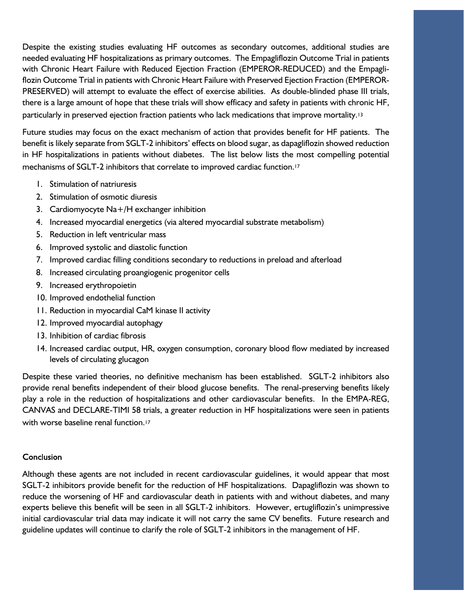Despite the existing studies evaluating HF outcomes as secondary outcomes, additional studies are needed evaluating HF hospitalizations as primary outcomes. The Empagliflozin Outcome Trial in patients with Chronic Heart Failure with Reduced Ejection Fraction (EMPEROR-REDUCED) and the Empagliflozin Outcome Trial in patients with Chronic Heart Failure with Preserved Ejection Fraction (EMPEROR-PRESERVED) will attempt to evaluate the effect of exercise abilities. As double-blinded phase III trials, there is a large amount of hope that these trials will show efficacy and safety in patients with chronic HF, particularly in preserved ejection fraction patients who lack medications that improve mortality.<sup>13</sup>

Future studies may focus on the exact mechanism of action that provides benefit for HF patients. The benefit is likely separate from SGLT-2 inhibitors' effects on blood sugar, as dapagliflozin showed reduction in HF hospitalizations in patients without diabetes. The list below lists the most compelling potential mechanisms of SGLT-2 inhibitors that correlate to improved cardiac function.<sup>17</sup>

- 1. Stimulation of natriuresis
- 2. Stimulation of osmotic diuresis
- 3. Cardiomyocyte Na+/H exchanger inhibition
- 4. Increased myocardial energetics (via altered myocardial substrate metabolism)
- 5. Reduction in left ventricular mass
- 6. Improved systolic and diastolic function
- 7. Improved cardiac filling conditions secondary to reductions in preload and afterload
- 8. Increased circulating proangiogenic progenitor cells
- 9. Increased erythropoietin
- 10. Improved endothelial function
- 11. Reduction in myocardial CaM kinase II activity
- 12. Improved myocardial autophagy
- 13. Inhibition of cardiac fibrosis
- 14. Increased cardiac output, HR, oxygen consumption, coronary blood flow mediated by increased levels of circulating glucagon

Despite these varied theories, no definitive mechanism has been established. SGLT-2 inhibitors also provide renal benefits independent of their blood glucose benefits. The renal-preserving benefits likely play a role in the reduction of hospitalizations and other cardiovascular benefits. In the EMPA-REG, CANVAS and DECLARE-TIMI 58 trials, a greater reduction in HF hospitalizations were seen in patients with worse baseline renal function.<sup>17</sup>

#### Conclusion

Although these agents are not included in recent cardiovascular guidelines, it would appear that most SGLT-2 inhibitors provide benefit for the reduction of HF hospitalizations. Dapagliflozin was shown to reduce the worsening of HF and cardiovascular death in patients with and without diabetes, and many experts believe this benefit will be seen in all SGLT-2 inhibitors. However, ertugliflozin's unimpressive initial cardiovascular trial data may indicate it will not carry the same CV benefits. Future research and guideline updates will continue to clarify the role of SGLT-2 inhibitors in the management of HF.